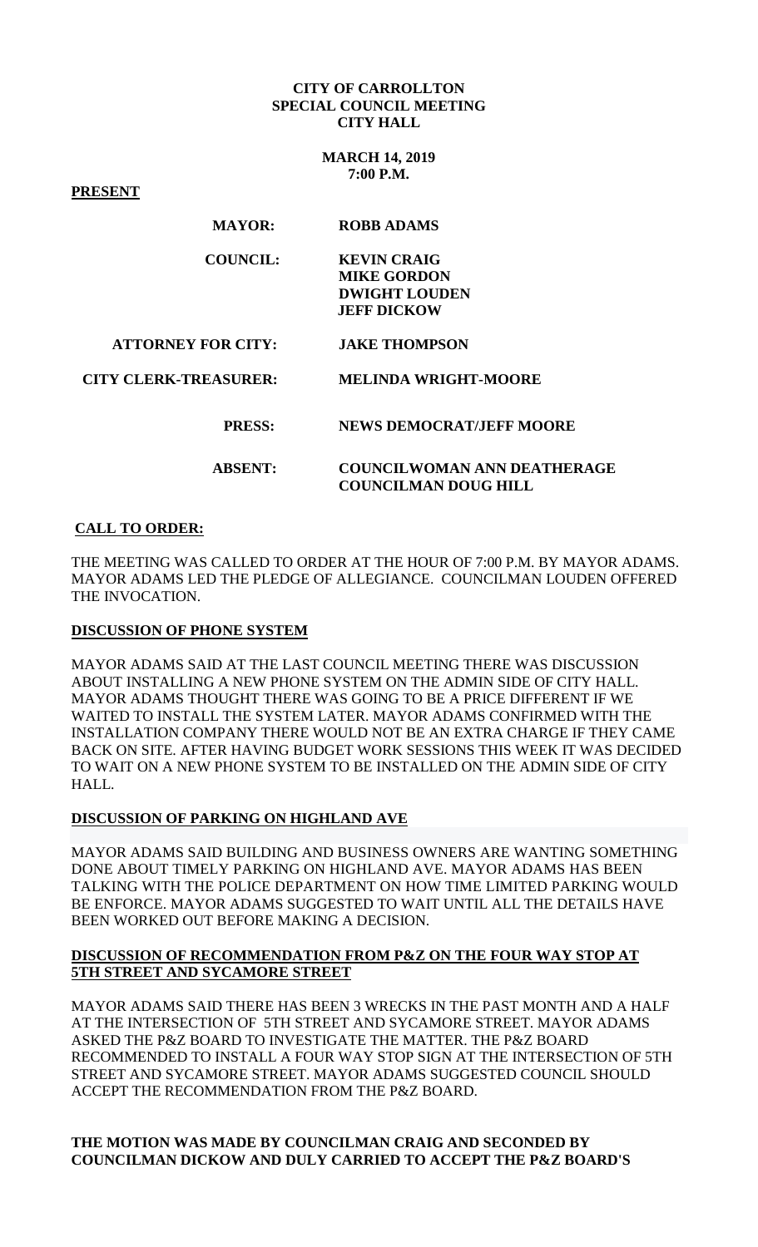#### **CITY OF CARROLLTON SPECIAL COUNCIL MEETING CITY HALL**

**MARCH 14, 2019 7:00 P.M.**

**PRESENT**

| <b>ROBB ADAMS</b>                  |
|------------------------------------|
| <b>KEVIN CRAIG</b>                 |
| <b>MIKE GORDON</b>                 |
| <b>DWIGHT LOUDEN</b>               |
| <b>JEFF DICKOW</b>                 |
| <b>JAKE THOMPSON</b>               |
| <b>MELINDA WRIGHT-MOORE</b>        |
| <b>NEWS DEMOCRAT/JEFF MOORE</b>    |
| <b>COUNCILWOMAN ANN DEATHERAGE</b> |
| <b>COUNCILMAN DOUG HILL</b>        |
|                                    |

# **CALL TO ORDER:**

THE MEETING WAS CALLED TO ORDER AT THE HOUR OF 7:00 P.M. BY MAYOR ADAMS. MAYOR ADAMS LED THE PLEDGE OF ALLEGIANCE. COUNCILMAN LOUDEN OFFERED THE INVOCATION.

### **DISCUSSION OF PHONE SYSTEM**

MAYOR ADAMS SAID AT THE LAST COUNCIL MEETING THERE WAS DISCUSSION ABOUT INSTALLING A NEW PHONE SYSTEM ON THE ADMIN SIDE OF CITY HALL. MAYOR ADAMS THOUGHT THERE WAS GOING TO BE A PRICE DIFFERENT IF WE WAITED TO INSTALL THE SYSTEM LATER. MAYOR ADAMS CONFIRMED WITH THE INSTALLATION COMPANY THERE WOULD NOT BE AN EXTRA CHARGE IF THEY CAME BACK ON SITE. AFTER HAVING BUDGET WORK SESSIONS THIS WEEK IT WAS DECIDED TO WAIT ON A NEW PHONE SYSTEM TO BE INSTALLED ON THE ADMIN SIDE OF CITY HALL.

### **DISCUSSION OF PARKING ON HIGHLAND AVE**

MAYOR ADAMS SAID BUILDING AND BUSINESS OWNERS ARE WANTING SOMETHING DONE ABOUT TIMELY PARKING ON HIGHLAND AVE. MAYOR ADAMS HAS BEEN TALKING WITH THE POLICE DEPARTMENT ON HOW TIME LIMITED PARKING WOULD BE ENFORCE. MAYOR ADAMS SUGGESTED TO WAIT UNTIL ALL THE DETAILS HAVE BEEN WORKED OUT BEFORE MAKING A DECISION.

# **DISCUSSION OF RECOMMENDATION FROM P&Z ON THE FOUR WAY STOP AT 5TH STREET AND SYCAMORE STREET**

MAYOR ADAMS SAID THERE HAS BEEN 3 WRECKS IN THE PAST MONTH AND A HALF AT THE INTERSECTION OF 5TH STREET AND SYCAMORE STREET. MAYOR ADAMS ASKED THE P&Z BOARD TO INVESTIGATE THE MATTER. THE P&Z BOARD RECOMMENDED TO INSTALL A FOUR WAY STOP SIGN AT THE INTERSECTION OF 5TH STREET AND SYCAMORE STREET. MAYOR ADAMS SUGGESTED COUNCIL SHOULD ACCEPT THE RECOMMENDATION FROM THE P&Z BOARD.

# **THE MOTION WAS MADE BY COUNCILMAN CRAIG AND SECONDED BY COUNCILMAN DICKOW AND DULY CARRIED TO ACCEPT THE P&Z BOARD'S**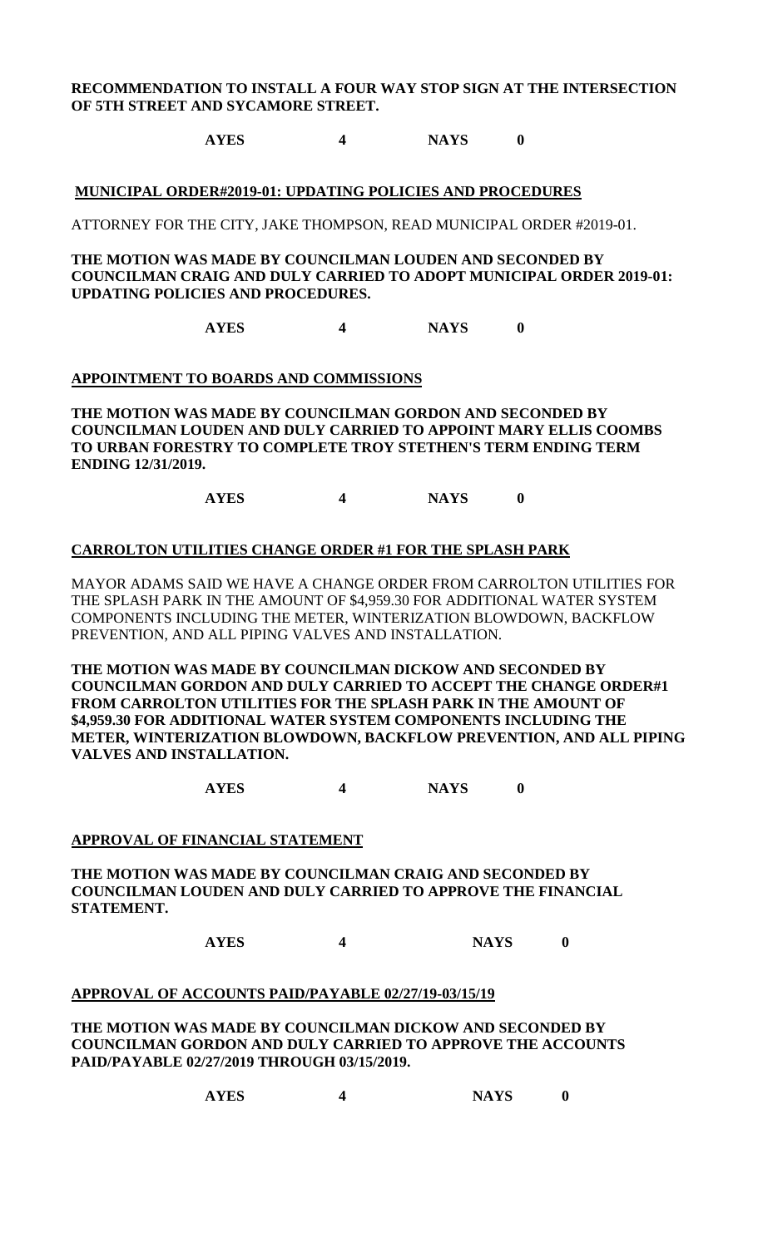# **RECOMMENDATION TO INSTALL A FOUR WAY STOP SIGN AT THE INTERSECTION OF 5TH STREET AND SYCAMORE STREET.**

# **AYES 4 NAYS 0**

#### **MUNICIPAL ORDER#2019-01: UPDATING POLICIES AND PROCEDURES**

ATTORNEY FOR THE CITY, JAKE THOMPSON, READ MUNICIPAL ORDER #2019-01.

**THE MOTION WAS MADE BY COUNCILMAN LOUDEN AND SECONDED BY COUNCILMAN CRAIG AND DULY CARRIED TO ADOPT MUNICIPAL ORDER 2019-01: UPDATING POLICIES AND PROCEDURES.**

**AYES 4 NAYS 0**

#### **APPOINTMENT TO BOARDS AND COMMISSIONS**

**THE MOTION WAS MADE BY COUNCILMAN GORDON AND SECONDED BY COUNCILMAN LOUDEN AND DULY CARRIED TO APPOINT MARY ELLIS COOMBS TO URBAN FORESTRY TO COMPLETE TROY STETHEN'S TERM ENDING TERM ENDING 12/31/2019.**

**AYES 4 NAYS 0**

#### **CARROLTON UTILITIES CHANGE ORDER #1 FOR THE SPLASH PARK**

MAYOR ADAMS SAID WE HAVE A CHANGE ORDER FROM CARROLTON UTILITIES FOR THE SPLASH PARK IN THE AMOUNT OF \$4,959.30 FOR ADDITIONAL WATER SYSTEM COMPONENTS INCLUDING THE METER, WINTERIZATION BLOWDOWN, BACKFLOW PREVENTION, AND ALL PIPING VALVES AND INSTALLATION.

**THE MOTION WAS MADE BY COUNCILMAN DICKOW AND SECONDED BY COUNCILMAN GORDON AND DULY CARRIED TO ACCEPT THE CHANGE ORDER#1 FROM CARROLTON UTILITIES FOR THE SPLASH PARK IN THE AMOUNT OF \$4,959.30 FOR ADDITIONAL WATER SYSTEM COMPONENTS INCLUDING THE METER, WINTERIZATION BLOWDOWN, BACKFLOW PREVENTION, AND ALL PIPING VALVES AND INSTALLATION.**

**AYES 4 NAYS 0**

#### **APPROVAL OF FINANCIAL STATEMENT**

**THE MOTION WAS MADE BY COUNCILMAN CRAIG AND SECONDED BY COUNCILMAN LOUDEN AND DULY CARRIED TO APPROVE THE FINANCIAL STATEMENT.**

**AYES 4 NAYS 0**

#### **APPROVAL OF ACCOUNTS PAID/PAYABLE 02/27/19-03/15/19**

**THE MOTION WAS MADE BY COUNCILMAN DICKOW AND SECONDED BY COUNCILMAN GORDON AND DULY CARRIED TO APPROVE THE ACCOUNTS PAID/PAYABLE 02/27/2019 THROUGH 03/15/2019.**

| <b>NAYS</b> |
|-------------|
|             |